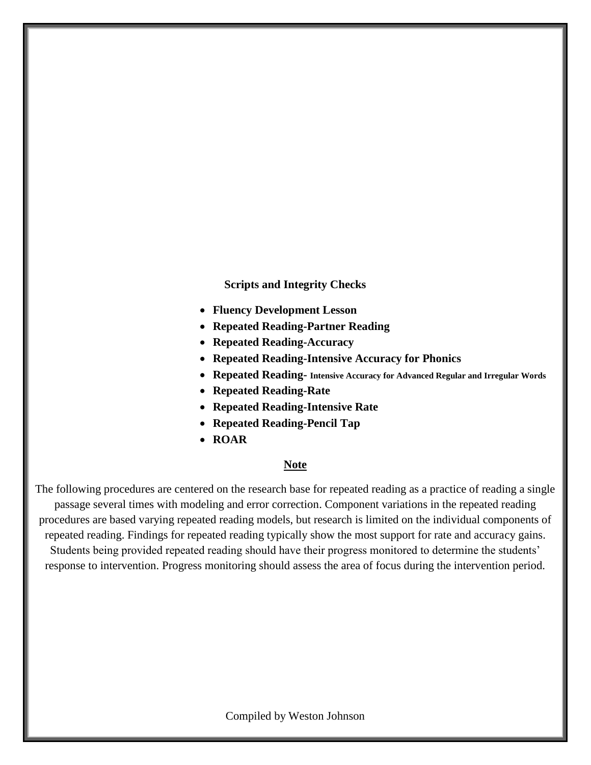**Scripts and Integrity Checks**

- **Fluency Development Lesson**
- **Repeated Reading-Partner Reading**
- **Repeated Reading-Accuracy**
- **Repeated Reading-Intensive Accuracy for Phonics**
- **Repeated Reading- Intensive Accuracy for Advanced Regular and Irregular Words**
- **Repeated Reading-Rate**
- **Repeated Reading-Intensive Rate**
- **Repeated Reading-Pencil Tap**
- **ROAR**

#### **Note**

The following procedures are centered on the research base for repeated reading as a practice of reading a single passage several times with modeling and error correction. Component variations in the repeated reading procedures are based varying repeated reading models, but research is limited on the individual components of repeated reading. Findings for repeated reading typically show the most support for rate and accuracy gains. Students being provided repeated reading should have their progress monitored to determine the students' response to intervention. Progress monitoring should assess the area of focus during the intervention period.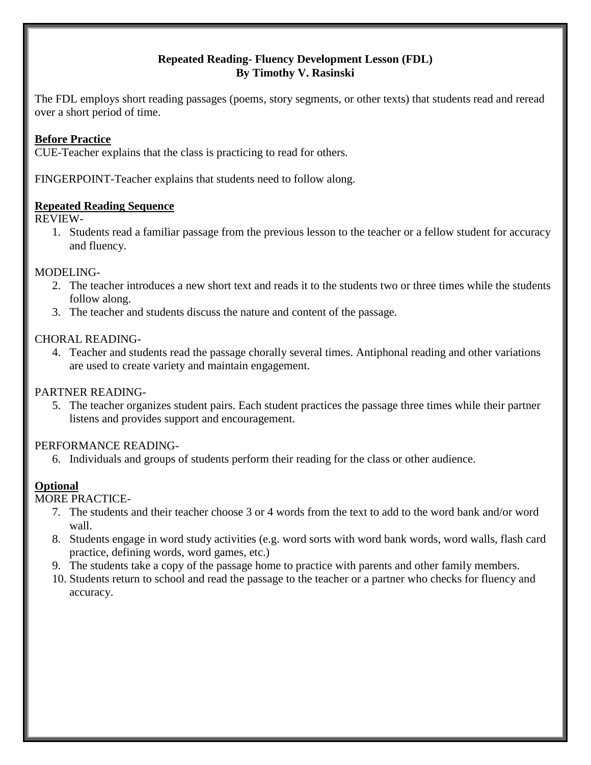# **Repeated Reading- Fluency Development Lesson (FDL) By Timothy V. Rasinski**

The FDL employs short reading passages (poems, story segments, or other texts) that students read and reread over a short period of time.

# **Before Practice**

CUE-Teacher explains that the class is practicing to read for others.

FINGERPOINT-Teacher explains that students need to follow along.

# **Repeated Reading Sequence**

REVIEW-

1. Students read a familiar passage from the previous lesson to the teacher or a fellow student for accuracy and fluency.

### MODELING-

- 2. The teacher introduces a new short text and reads it to the students two or three times while the students follow along.
- 3. The teacher and students discuss the nature and content of the passage.

### CHORAL READING-

4. Teacher and students read the passage chorally several times. Antiphonal reading and other variations are used to create variety and maintain engagement.

# PARTNER READING-

5. The teacher organizes student pairs. Each student practices the passage three times while their partner listens and provides support and encouragement.

# PERFORMANCE READING-

6. Individuals and groups of students perform their reading for the class or other audience.

# **Optional**

MORE PRACTICE-

- 7. The students and their teacher choose 3 or 4 words from the text to add to the word bank and/or word wall.
- 8. Students engage in word study activities (e.g. word sorts with word bank words, word walls, flash card practice, defining words, word games, etc.)
- 9. The students take a copy of the passage home to practice with parents and other family members.
- 10. Students return to school and read the passage to the teacher or a partner who checks for fluency and accuracy.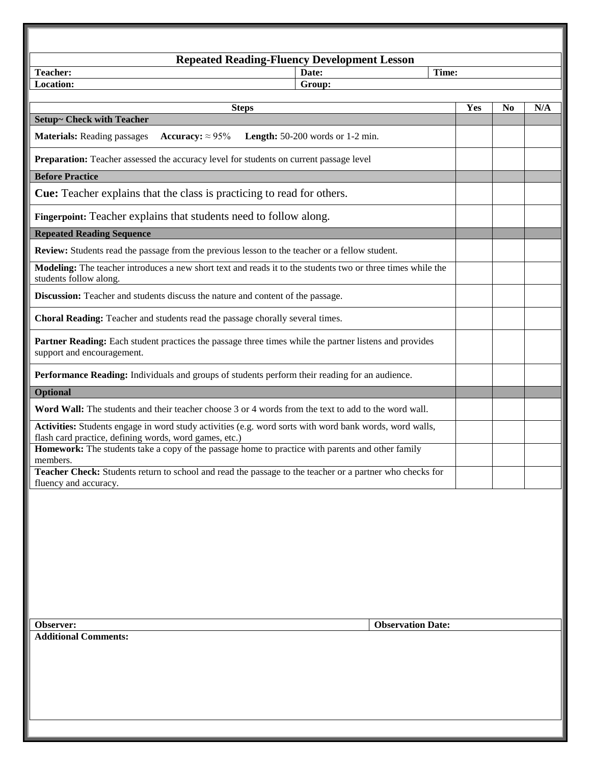| <b>Repeated Reading-Fluency Development Lesson</b>                                                                                                                |       |                |     |  |
|-------------------------------------------------------------------------------------------------------------------------------------------------------------------|-------|----------------|-----|--|
| <b>Teacher:</b><br>Date:<br>Location:                                                                                                                             | Time: |                |     |  |
| Group:                                                                                                                                                            |       |                |     |  |
| <b>Steps</b>                                                                                                                                                      | Yes   | N <sub>0</sub> | N/A |  |
| <b>Setup~ Check with Teacher</b>                                                                                                                                  |       |                |     |  |
| <b>Materials:</b> Reading passages<br>Accuracy: $\approx 95\%$<br><b>Length:</b> $50-200$ words or $1-2$ min.                                                     |       |                |     |  |
| Preparation: Teacher assessed the accuracy level for students on current passage level                                                                            |       |                |     |  |
| <b>Before Practice</b>                                                                                                                                            |       |                |     |  |
| <b>Cue:</b> Teacher explains that the class is practicing to read for others.                                                                                     |       |                |     |  |
| Fingerpoint: Teacher explains that students need to follow along.                                                                                                 |       |                |     |  |
| <b>Repeated Reading Sequence</b>                                                                                                                                  |       |                |     |  |
| Review: Students read the passage from the previous lesson to the teacher or a fellow student.                                                                    |       |                |     |  |
| Modeling: The teacher introduces a new short text and reads it to the students two or three times while the<br>students follow along.                             |       |                |     |  |
| Discussion: Teacher and students discuss the nature and content of the passage.                                                                                   |       |                |     |  |
| Choral Reading: Teacher and students read the passage chorally several times.                                                                                     |       |                |     |  |
| Partner Reading: Each student practices the passage three times while the partner listens and provides<br>support and encouragement.                              |       |                |     |  |
| Performance Reading: Individuals and groups of students perform their reading for an audience.                                                                    |       |                |     |  |
| <b>Optional</b>                                                                                                                                                   |       |                |     |  |
| Word Wall: The students and their teacher choose 3 or 4 words from the text to add to the word wall.                                                              |       |                |     |  |
| Activities: Students engage in word study activities (e.g. word sorts with word bank words, word walls,<br>flash card practice, defining words, word games, etc.) |       |                |     |  |
| Homework: The students take a copy of the passage home to practice with parents and other family<br>members.                                                      |       |                |     |  |
| Teacher Check: Students return to school and read the passage to the teacher or a partner who checks for<br>fluency and accuracy.                                 |       |                |     |  |
| <b>Observation Date:</b><br>Observer:<br><b>Additional Comments:</b>                                                                                              |       |                |     |  |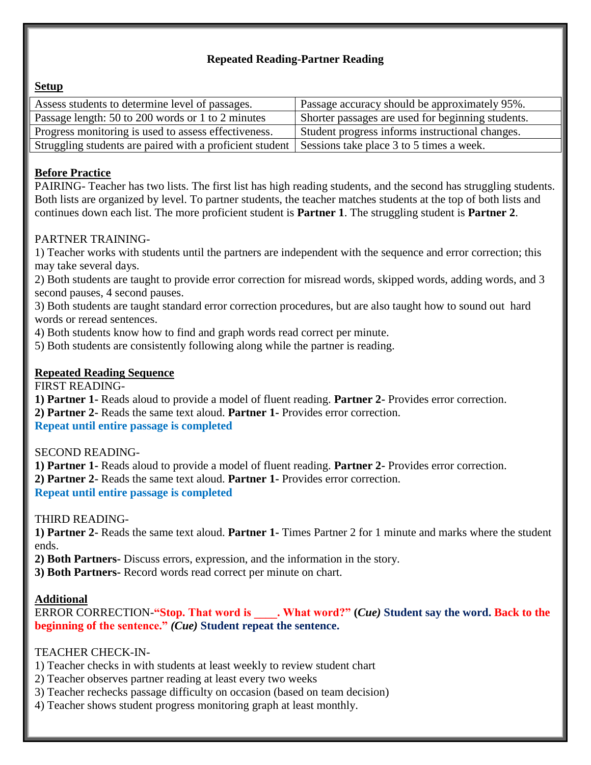# **Repeated Reading-Partner Reading**

# **Setup**

| Assess students to determine level of passages.                                                     | Passage accuracy should be approximately 95%.     |
|-----------------------------------------------------------------------------------------------------|---------------------------------------------------|
| Passage length: 50 to 200 words or 1 to 2 minutes                                                   | Shorter passages are used for beginning students. |
| Progress monitoring is used to assess effectiveness.                                                | Student progress informs instructional changes.   |
| Struggling students are paired with a proficient student   Sessions take place 3 to 5 times a week. |                                                   |

# **Before Practice**

PAIRING- Teacher has two lists. The first list has high reading students, and the second has struggling students. Both lists are organized by level. To partner students, the teacher matches students at the top of both lists and continues down each list. The more proficient student is **Partner 1**. The struggling student is **Partner 2**.

# PARTNER TRAINING-

1) Teacher works with students until the partners are independent with the sequence and error correction; this may take several days.

2) Both students are taught to provide error correction for misread words, skipped words, adding words, and 3 second pauses, 4 second pauses.

3) Both students are taught standard error correction procedures, but are also taught how to sound out hard words or reread sentences.

4) Both students know how to find and graph words read correct per minute.

5) Both students are consistently following along while the partner is reading.

# **Repeated Reading Sequence**

FIRST READING-

**1) Partner 1-** Reads aloud to provide a model of fluent reading. **Partner 2-** Provides error correction. **2) Partner 2-** Reads the same text aloud. **Partner 1-** Provides error correction.

# **Repeat until entire passage is completed**

SECOND READING-

**1) Partner 1-** Reads aloud to provide a model of fluent reading. **Partner 2-** Provides error correction. **2) Partner 2-** Reads the same text aloud. **Partner 1-** Provides error correction. **Repeat until entire passage is completed**

THIRD READING-

**1) Partner 2-** Reads the same text aloud. **Partner 1-** Times Partner 2 for 1 minute and marks where the student ends.

**2) Both Partners-** Discuss errors, expression, and the information in the story.

**3) Both Partners-** Record words read correct per minute on chart.

# **Additional**

ERROR CORRECTION-**"Stop. That word is \_\_\_\_. What word?" (***Cue)* **Student say the word. Back to the beginning of the sentence."** *(Cue)* **Student repeat the sentence.**

# TEACHER CHECK-IN-

- 1) Teacher checks in with students at least weekly to review student chart
- 2) Teacher observes partner reading at least every two weeks
- 3) Teacher rechecks passage difficulty on occasion (based on team decision)
- 4) Teacher shows student progress monitoring graph at least monthly.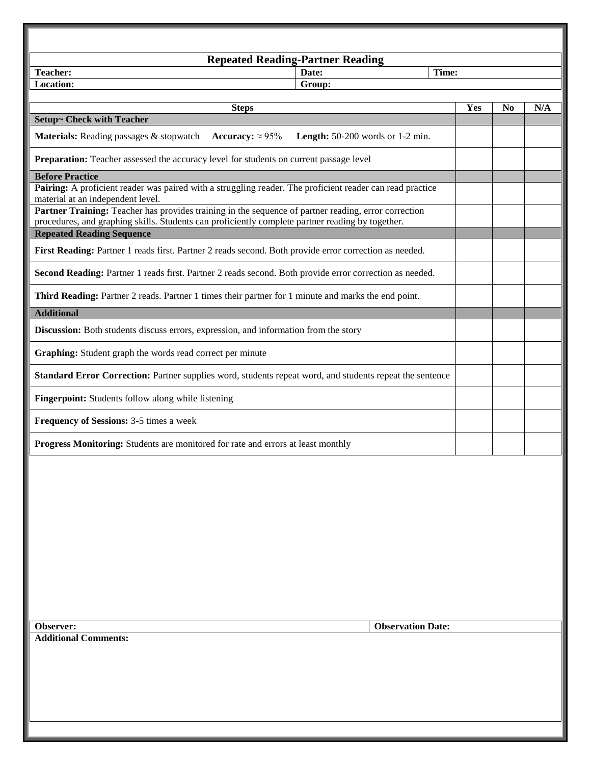| <b>Repeated Reading-Partner Reading</b>                                                                                                                                                                                                                                                                                                                                              |                          |     |                |     |
|--------------------------------------------------------------------------------------------------------------------------------------------------------------------------------------------------------------------------------------------------------------------------------------------------------------------------------------------------------------------------------------|--------------------------|-----|----------------|-----|
| <b>Teacher:</b><br>Date:                                                                                                                                                                                                                                                                                                                                                             | Time:                    |     |                |     |
| Location:<br>Group:                                                                                                                                                                                                                                                                                                                                                                  |                          |     |                |     |
|                                                                                                                                                                                                                                                                                                                                                                                      |                          | Yes | N <sub>0</sub> | N/A |
| <b>Steps</b><br>Setup~ Check with Teacher                                                                                                                                                                                                                                                                                                                                            |                          |     |                |     |
| <b>Materials:</b> Reading passages & stopwatch Accuracy: $\approx 95\%$<br>Length: 50-200 words or 1-2 min.                                                                                                                                                                                                                                                                          |                          |     |                |     |
| Preparation: Teacher assessed the accuracy level for students on current passage level                                                                                                                                                                                                                                                                                               |                          |     |                |     |
| <b>Before Practice</b><br>Pairing: A proficient reader was paired with a struggling reader. The proficient reader can read practice<br>material at an independent level.<br>Partner Training: Teacher has provides training in the sequence of partner reading, error correction<br>procedures, and graphing skills. Students can proficiently complete partner reading by together. |                          |     |                |     |
| <b>Repeated Reading Sequence</b>                                                                                                                                                                                                                                                                                                                                                     |                          |     |                |     |
| First Reading: Partner 1 reads first. Partner 2 reads second. Both provide error correction as needed.                                                                                                                                                                                                                                                                               |                          |     |                |     |
| Second Reading: Partner 1 reads first. Partner 2 reads second. Both provide error correction as needed.                                                                                                                                                                                                                                                                              |                          |     |                |     |
| Third Reading: Partner 2 reads. Partner 1 times their partner for 1 minute and marks the end point.                                                                                                                                                                                                                                                                                  |                          |     |                |     |
| <b>Additional</b>                                                                                                                                                                                                                                                                                                                                                                    |                          |     |                |     |
| Discussion: Both students discuss errors, expression, and information from the story                                                                                                                                                                                                                                                                                                 |                          |     |                |     |
| Graphing: Student graph the words read correct per minute                                                                                                                                                                                                                                                                                                                            |                          |     |                |     |
| Standard Error Correction: Partner supplies word, students repeat word, and students repeat the sentence                                                                                                                                                                                                                                                                             |                          |     |                |     |
| Fingerpoint: Students follow along while listening                                                                                                                                                                                                                                                                                                                                   |                          |     |                |     |
| Frequency of Sessions: 3-5 times a week                                                                                                                                                                                                                                                                                                                                              |                          |     |                |     |
| Progress Monitoring: Students are monitored for rate and errors at least monthly                                                                                                                                                                                                                                                                                                     |                          |     |                |     |
|                                                                                                                                                                                                                                                                                                                                                                                      |                          |     |                |     |
| Observer:                                                                                                                                                                                                                                                                                                                                                                            | <b>Observation Date:</b> |     |                |     |
| <b>Additional Comments:</b>                                                                                                                                                                                                                                                                                                                                                          |                          |     |                |     |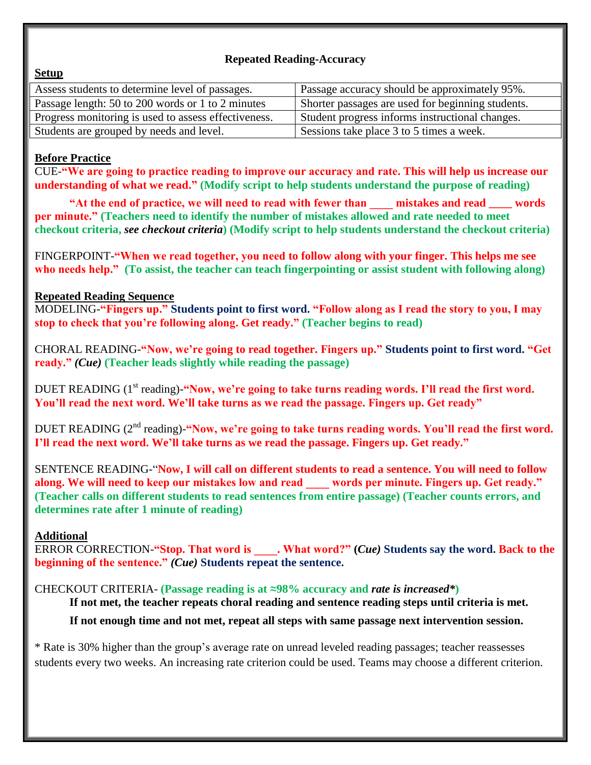# **Repeated Reading-Accuracy**

| Assess students to determine level of passages.      | Passage accuracy should be approximately 95%.     |
|------------------------------------------------------|---------------------------------------------------|
| Passage length: 50 to 200 words or 1 to 2 minutes    | Shorter passages are used for beginning students. |
| Progress monitoring is used to assess effectiveness. | Student progress informs instructional changes.   |
| Students are grouped by needs and level.             | Sessions take place 3 to 5 times a week.          |

# **Before Practice**

**Setup**

CUE-**"We are going to practice reading to improve our accuracy and rate. This will help us increase our understanding of what we read." (Modify script to help students understand the purpose of reading)**

"At the end of practice, we will need to read with fewer than **mistakes and read words per minute." (Teachers need to identify the number of mistakes allowed and rate needed to meet checkout criteria,** *see checkout criteria***) (Modify script to help students understand the checkout criteria)**

FINGERPOINT-**"When we read together, you need to follow along with your finger. This helps me see who needs help." (To assist, the teacher can teach fingerpointing or assist student with following along)**

# **Repeated Reading Sequence**

MODELING-**"Fingers up." Students point to first word. "Follow along as I read the story to you, I may stop to check that you're following along. Get ready." (Teacher begins to read)**

CHORAL READING-**"Now, we're going to read together. Fingers up." Students point to first word. "Get ready."** *(Cue)* **(Teacher leads slightly while reading the passage)**

DUET READING (1<sup>st</sup> reading)-"Now, we're going to take turns reading words. I'll read the first word. **You'll read the next word. We'll take turns as we read the passage. Fingers up. Get ready"**

DUET READING (2nd reading)-**"Now, we're going to take turns reading words. You'll read the first word. I'll read the next word. We'll take turns as we read the passage. Fingers up. Get ready."**

SENTENCE READING-"**Now, I will call on different students to read a sentence. You will need to follow along. We will need to keep our mistakes low and read \_\_\_\_ words per minute. Fingers up. Get ready." (Teacher calls on different students to read sentences from entire passage) (Teacher counts errors, and determines rate after 1 minute of reading)**

# **Additional**

ERROR CORRECTION-**"Stop. That word is \_\_\_\_. What word?" (***Cue)* **Students say the word. Back to the beginning of the sentence."** *(Cue)* **Students repeat the sentence.**

# CHECKOUT CRITERIA- **(Passage reading is at ≈98% accuracy and** *rate is increased\****)**

**If not met, the teacher repeats choral reading and sentence reading steps until criteria is met. If not enough time and not met, repeat all steps with same passage next intervention session.**

\* Rate is 30% higher than the group's average rate on unread leveled reading passages; teacher reassesses students every two weeks. An increasing rate criterion could be used. Teams may choose a different criterion.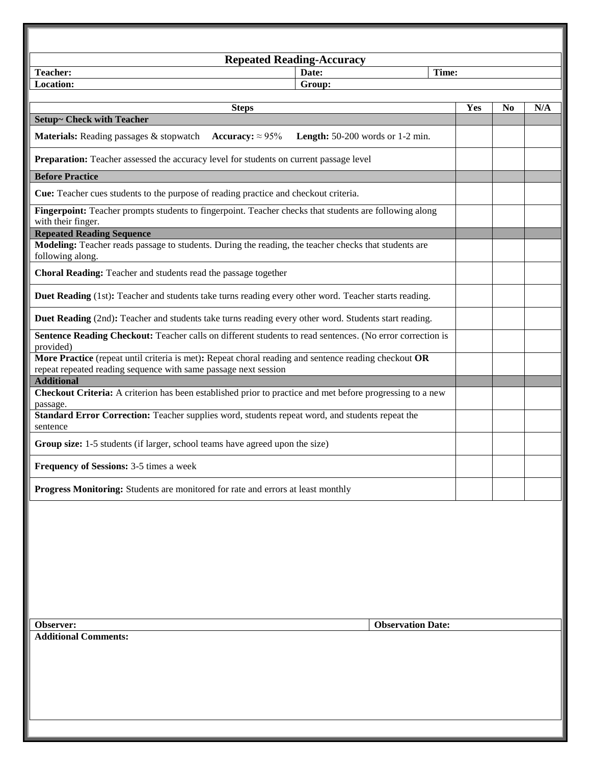| <b>Repeated Reading-Accuracy</b>                                                                                             |                          |     |                |     |
|------------------------------------------------------------------------------------------------------------------------------|--------------------------|-----|----------------|-----|
| Teacher:<br>Date:<br>Location:<br>Group:                                                                                     | Time:                    |     |                |     |
|                                                                                                                              |                          |     |                |     |
| <b>Steps</b>                                                                                                                 |                          | Yes | N <sub>0</sub> | N/A |
| <b>Setup~ Check with Teacher</b>                                                                                             |                          |     |                |     |
| <b>Materials:</b> Reading passages & stopwatch Accuracy: $\approx 95\%$<br><b>Length:</b> $50-200$ words or $1-2$ min.       |                          |     |                |     |
| Preparation: Teacher assessed the accuracy level for students on current passage level                                       |                          |     |                |     |
| <b>Before Practice</b>                                                                                                       |                          |     |                |     |
| <b>Cue:</b> Teacher cues students to the purpose of reading practice and checkout criteria.                                  |                          |     |                |     |
| Fingerpoint: Teacher prompts students to fingerpoint. Teacher checks that students are following along<br>with their finger. |                          |     |                |     |
| <b>Repeated Reading Sequence</b>                                                                                             |                          |     |                |     |
| Modeling: Teacher reads passage to students. During the reading, the teacher checks that students are<br>following along.    |                          |     |                |     |
| Choral Reading: Teacher and students read the passage together                                                               |                          |     |                |     |
| Duet Reading (1st): Teacher and students take turns reading every other word. Teacher starts reading.                        |                          |     |                |     |
| Duet Reading (2nd): Teacher and students take turns reading every other word. Students start reading.                        |                          |     |                |     |
| Sentence Reading Checkout: Teacher calls on different students to read sentences. (No error correction is<br>provided)       |                          |     |                |     |
| More Practice (repeat until criteria is met): Repeat choral reading and sentence reading checkout OR                         |                          |     |                |     |
| repeat repeated reading sequence with same passage next session<br><b>Additional</b>                                         |                          |     |                |     |
| <b>Checkout Criteria:</b> A criterion has been established prior to practice and met before progressing to a new<br>passage. |                          |     |                |     |
| Standard Error Correction: Teacher supplies word, students repeat word, and students repeat the<br>sentence                  |                          |     |                |     |
| Group size: 1-5 students (if larger, school teams have agreed upon the size)                                                 |                          |     |                |     |
| <b>Frequency of Sessions: 3-5 times a week</b>                                                                               |                          |     |                |     |
| Progress Monitoring: Students are monitored for rate and errors at least monthly                                             |                          |     |                |     |
|                                                                                                                              |                          |     |                |     |
|                                                                                                                              |                          |     |                |     |
|                                                                                                                              |                          |     |                |     |
| Observer:                                                                                                                    | <b>Observation Date:</b> |     |                |     |
| <b>Additional Comments:</b>                                                                                                  |                          |     |                |     |
|                                                                                                                              |                          |     |                |     |
|                                                                                                                              |                          |     |                |     |
|                                                                                                                              |                          |     |                |     |
|                                                                                                                              |                          |     |                |     |
|                                                                                                                              |                          |     |                |     |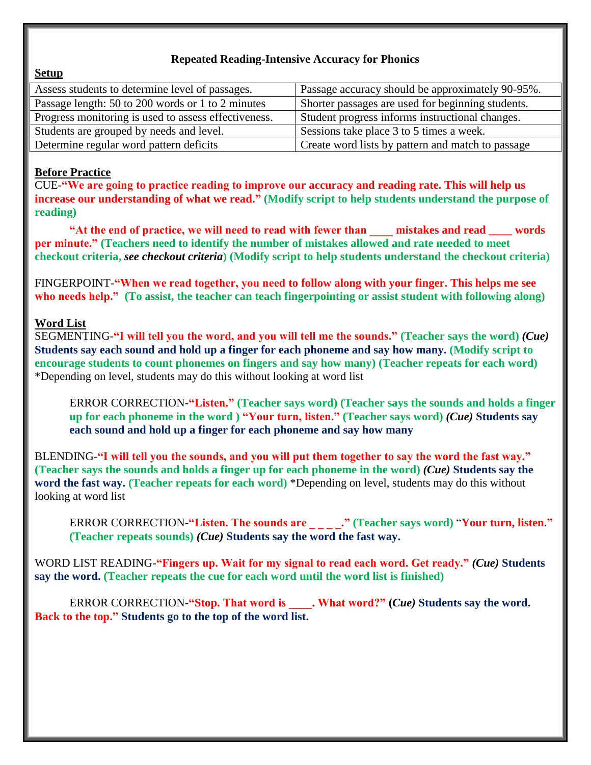# **Repeated Reading-Intensive Accuracy for Phonics**

#### **Setup**

| Assess students to determine level of passages.      | Passage accuracy should be approximately 90-95%.  |
|------------------------------------------------------|---------------------------------------------------|
| Passage length: 50 to 200 words or 1 to 2 minutes    | Shorter passages are used for beginning students. |
| Progress monitoring is used to assess effectiveness. | Student progress informs instructional changes.   |
| Students are grouped by needs and level.             | Sessions take place 3 to 5 times a week.          |
| Determine regular word pattern deficits              | Create word lists by pattern and match to passage |

### **Before Practice**

CUE-**"We are going to practice reading to improve our accuracy and reading rate. This will help us increase our understanding of what we read." (Modify script to help students understand the purpose of reading)**

**"At the end of practice, we will need to read with fewer than \_\_\_\_ mistakes and read \_\_\_\_ words per minute." (Teachers need to identify the number of mistakes allowed and rate needed to meet checkout criteria,** *see checkout criteria***) (Modify script to help students understand the checkout criteria)**

FINGERPOINT-**"When we read together, you need to follow along with your finger. This helps me see who needs help." (To assist, the teacher can teach fingerpointing or assist student with following along)**

# **Word List**

SEGMENTING-**"I will tell you the word, and you will tell me the sounds." (Teacher says the word)** *(Cue)* **Students say each sound and hold up a finger for each phoneme and say how many. (Modify script to encourage students to count phonemes on fingers and say how many) (Teacher repeats for each word)** \*Depending on level, students may do this without looking at word list

ERROR CORRECTION-**"Listen." (Teacher says word) (Teacher says the sounds and holds a finger up for each phoneme in the word ) "Your turn, listen." (Teacher says word)** *(Cue)* **Students say each sound and hold up a finger for each phoneme and say how many**

BLENDING-**"I will tell you the sounds, and you will put them together to say the word the fast way." (Teacher says the sounds and holds a finger up for each phoneme in the word)** *(Cue)* **Students say the word the fast way. (Teacher repeats for each word)** \*Depending on level, students may do this without looking at word list

ERROR CORRECTION-**"Listen. The sounds are \_ \_ \_ \_." (Teacher says word)** "**Your turn, listen." (Teacher repeats sounds)** *(Cue)* **Students say the word the fast way.**

WORD LIST READING-**"Fingers up. Wait for my signal to read each word. Get ready."** *(Cue)* **Students say the word. (Teacher repeats the cue for each word until the word list is finished)**

ERROR CORRECTION-**"Stop. That word is \_\_\_\_. What word?" (***Cue)* **Students say the word. Back to the top." Students go to the top of the word list.**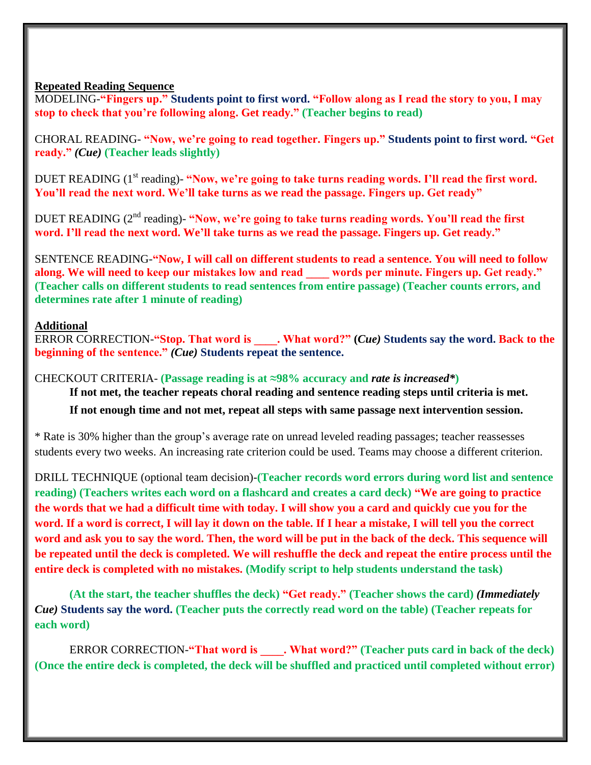### **Repeated Reading Sequence**

MODELING-**"Fingers up." Students point to first word. "Follow along as I read the story to you, I may stop to check that you're following along. Get ready." (Teacher begins to read)**

CHORAL READING- **"Now, we're going to read together. Fingers up." Students point to first word. "Get ready."** *(Cue)* **(Teacher leads slightly)**

DUET READING (1<sup>st</sup> reading)- "Now, we're going to take turns reading words. I'll read the first word. **You'll read the next word. We'll take turns as we read the passage. Fingers up. Get ready"**

DUET READING (2<sup>nd</sup> reading)- "Now, we're going to take turns reading words. You'll read the first **word. I'll read the next word. We'll take turns as we read the passage. Fingers up. Get ready."**

SENTENCE READING-**"Now, I will call on different students to read a sentence. You will need to follow along. We will need to keep our mistakes low and read \_\_\_\_ words per minute. Fingers up. Get ready." (Teacher calls on different students to read sentences from entire passage) (Teacher counts errors, and determines rate after 1 minute of reading)**

# **Additional**

ERROR CORRECTION-**"Stop. That word is \_\_\_\_. What word?" (***Cue)* **Students say the word. Back to the beginning of the sentence."** *(Cue)* **Students repeat the sentence.**

CHECKOUT CRITERIA- **(Passage reading is at ≈98% accuracy and** *rate is increased\****) If not met, the teacher repeats choral reading and sentence reading steps until criteria is met. If not enough time and not met, repeat all steps with same passage next intervention session.**

\* Rate is 30% higher than the group's average rate on unread leveled reading passages; teacher reassesses students every two weeks. An increasing rate criterion could be used. Teams may choose a different criterion.

DRILL TECHNIQUE (optional team decision)-**(Teacher records word errors during word list and sentence reading) (Teachers writes each word on a flashcard and creates a card deck) "We are going to practice the words that we had a difficult time with today. I will show you a card and quickly cue you for the word. If a word is correct, I will lay it down on the table. If I hear a mistake, I will tell you the correct word and ask you to say the word. Then, the word will be put in the back of the deck. This sequence will be repeated until the deck is completed. We will reshuffle the deck and repeat the entire process until the entire deck is completed with no mistakes. (Modify script to help students understand the task)**

**(At the start, the teacher shuffles the deck) "Get ready." (Teacher shows the card)** *(Immediately Cue)* **Students say the word. (Teacher puts the correctly read word on the table) (Teacher repeats for each word)**

ERROR CORRECTION-**"That word is \_\_\_\_. What word?" (Teacher puts card in back of the deck) (Once the entire deck is completed, the deck will be shuffled and practiced until completed without error)**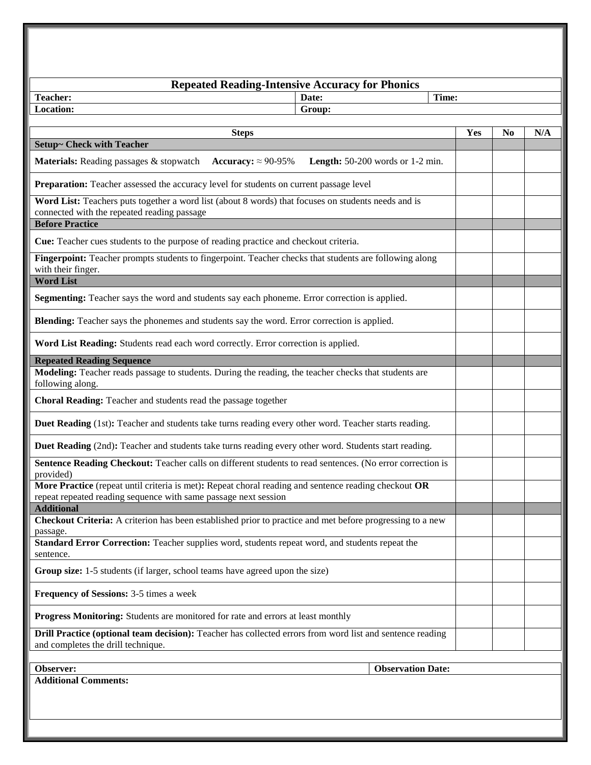| <b>Repeated Reading-Intensive Accuracy for Phonics</b>                                                                                                                       |     |                |     |
|------------------------------------------------------------------------------------------------------------------------------------------------------------------------------|-----|----------------|-----|
| Date:<br>Time:<br>Teacher:                                                                                                                                                   |     |                |     |
| <b>Location:</b><br>Group:                                                                                                                                                   |     |                |     |
| <b>Steps</b>                                                                                                                                                                 | Yes | N <sub>0</sub> | N/A |
| Setup~ Check with Teacher                                                                                                                                                    |     |                |     |
| Accuracy: $\approx$ 90-95%<br><b>Materials:</b> Reading passages & stopwatch<br><b>Length:</b> $50-200$ words or $1-2$ min.                                                  |     |                |     |
| Preparation: Teacher assessed the accuracy level for students on current passage level                                                                                       |     |                |     |
| Word List: Teachers puts together a word list (about 8 words) that focuses on students needs and is<br>connected with the repeated reading passage<br><b>Before Practice</b> |     |                |     |
| Cue: Teacher cues students to the purpose of reading practice and checkout criteria.                                                                                         |     |                |     |
| Fingerpoint: Teacher prompts students to fingerpoint. Teacher checks that students are following along<br>with their finger.                                                 |     |                |     |
| <b>Word List</b>                                                                                                                                                             |     |                |     |
| Segmenting: Teacher says the word and students say each phoneme. Error correction is applied.                                                                                |     |                |     |
| Blending: Teacher says the phonemes and students say the word. Error correction is applied.                                                                                  |     |                |     |
| Word List Reading: Students read each word correctly. Error correction is applied.                                                                                           |     |                |     |
| <b>Repeated Reading Sequence</b>                                                                                                                                             |     |                |     |
| Modeling: Teacher reads passage to students. During the reading, the teacher checks that students are<br>following along.                                                    |     |                |     |
| Choral Reading: Teacher and students read the passage together                                                                                                               |     |                |     |
| Duet Reading (1st): Teacher and students take turns reading every other word. Teacher starts reading.                                                                        |     |                |     |
| Duet Reading (2nd): Teacher and students take turns reading every other word. Students start reading.                                                                        |     |                |     |
| Sentence Reading Checkout: Teacher calls on different students to read sentences. (No error correction is<br>provided)                                                       |     |                |     |
| More Practice (repeat until criteria is met): Repeat choral reading and sentence reading checkout OR<br>repeat repeated reading sequence with same passage next session      |     |                |     |
| <b>Additional</b>                                                                                                                                                            |     |                |     |
| Checkout Criteria: A criterion has been established prior to practice and met before progressing to a new                                                                    |     |                |     |
| passage.<br>Standard Error Correction: Teacher supplies word, students repeat word, and students repeat the<br>sentence.                                                     |     |                |     |
| Group size: 1-5 students (if larger, school teams have agreed upon the size)                                                                                                 |     |                |     |
| Frequency of Sessions: 3-5 times a week                                                                                                                                      |     |                |     |
| Progress Monitoring: Students are monitored for rate and errors at least monthly                                                                                             |     |                |     |
| Drill Practice (optional team decision): Teacher has collected errors from word list and sentence reading<br>and completes the drill technique.                              |     |                |     |
|                                                                                                                                                                              |     |                |     |
| Observer:<br><b>Observation Date:</b>                                                                                                                                        |     |                |     |
| <b>Additional Comments:</b>                                                                                                                                                  |     |                |     |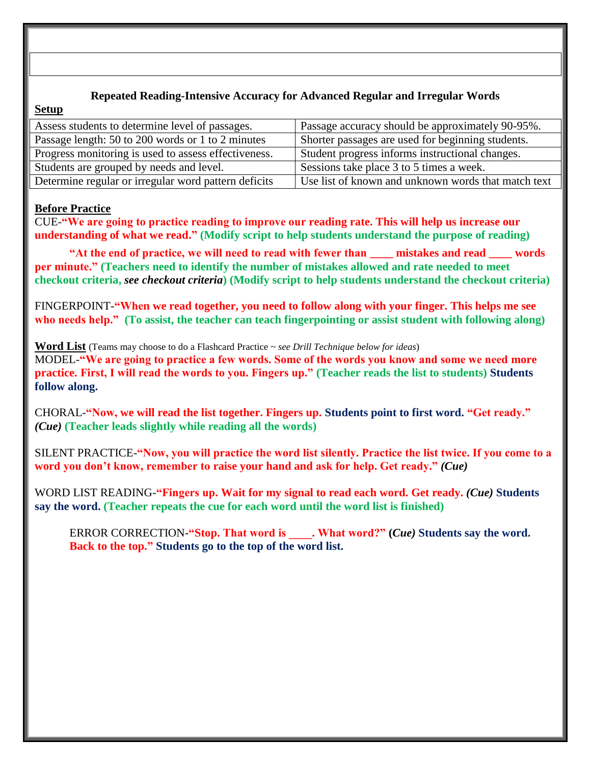# **Repeated Reading-Intensive Accuracy for Advanced Regular and Irregular Words**

#### **Setup**

| Assess students to determine level of passages.      | Passage accuracy should be approximately 90-95%.    |
|------------------------------------------------------|-----------------------------------------------------|
| Passage length: 50 to 200 words or 1 to 2 minutes    | Shorter passages are used for beginning students.   |
| Progress monitoring is used to assess effectiveness. | Student progress informs instructional changes.     |
| Students are grouped by needs and level.             | Sessions take place 3 to 5 times a week.            |
| Determine regular or irregular word pattern deficits | Use list of known and unknown words that match text |

### **Before Practice**

CUE-**"We are going to practice reading to improve our reading rate. This will help us increase our understanding of what we read." (Modify script to help students understand the purpose of reading)**

**"At the end of practice, we will need to read with fewer than zero mistakes and read words per minute." (Teachers need to identify the number of mistakes allowed and rate needed to meet checkout criteria,** *see checkout criteria***) (Modify script to help students understand the checkout criteria)**

FINGERPOINT-**"When we read together, you need to follow along with your finger. This helps me see who needs help." (To assist, the teacher can teach fingerpointing or assist student with following along)**

**Word List** (Teams may choose to do a Flashcard Practice ~ *see Drill Technique below for ideas*)

MODEL-**"We are going to practice a few words. Some of the words you know and some we need more practice. First, I will read the words to you. Fingers up." (Teacher reads the list to students) Students follow along.**

CHORAL-**"Now, we will read the list together. Fingers up. Students point to first word. "Get ready."** *(Cue)* **(Teacher leads slightly while reading all the words)**

SILENT PRACTICE-**"Now, you will practice the word list silently. Practice the list twice. If you come to a word you don't know, remember to raise your hand and ask for help. Get ready."** *(Cue)*

WORD LIST READING-**"Fingers up. Wait for my signal to read each word. Get ready.** *(Cue)* **Students say the word. (Teacher repeats the cue for each word until the word list is finished)**

ERROR CORRECTION-**"Stop. That word is \_\_\_\_. What word?" (***Cue)* **Students say the word. Back to the top." Students go to the top of the word list.**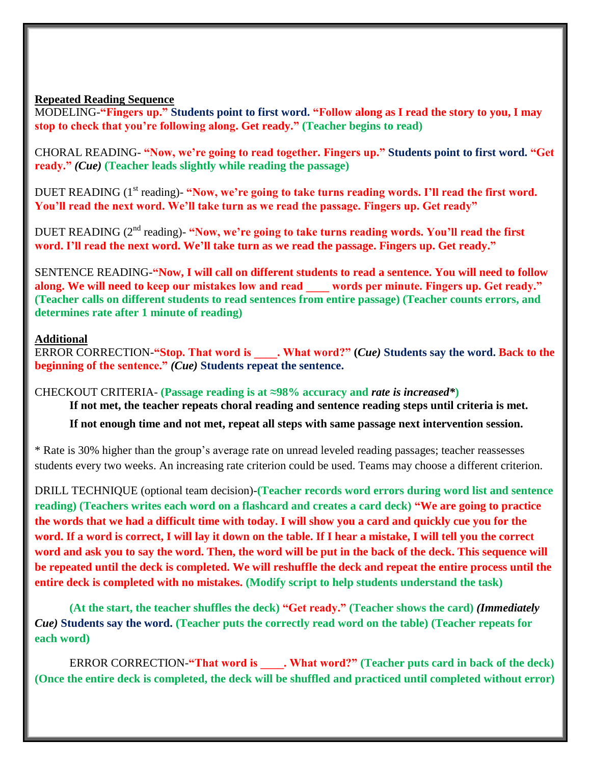#### **Repeated Reading Sequence**

MODELING-**"Fingers up." Students point to first word. "Follow along as I read the story to you, I may stop to check that you're following along. Get ready." (Teacher begins to read)**

CHORAL READING- **"Now, we're going to read together. Fingers up." Students point to first word. "Get ready."** *(Cue)* **(Teacher leads slightly while reading the passage)**

DUET READING (1<sup>st</sup> reading)- "Now, we're going to take turns reading words. I'll read the first word. **You'll read the next word. We'll take turn as we read the passage. Fingers up. Get ready"**

DUET READING (2<sup>nd</sup> reading)- "Now, we're going to take turns reading words. You'll read the first **word. I'll read the next word. We'll take turn as we read the passage. Fingers up. Get ready."**

SENTENCE READING-**"Now, I will call on different students to read a sentence. You will need to follow along. We will need to keep our mistakes low and read \_\_\_\_ words per minute. Fingers up. Get ready." (Teacher calls on different students to read sentences from entire passage) (Teacher counts errors, and determines rate after 1 minute of reading)**

# **Additional**

ERROR CORRECTION-**"Stop. That word is \_\_\_\_. What word?" (***Cue)* **Students say the word. Back to the beginning of the sentence."** *(Cue)* **Students repeat the sentence.**

CHECKOUT CRITERIA- **(Passage reading is at ≈98% accuracy and** *rate is increased\****)**

**If not met, the teacher repeats choral reading and sentence reading steps until criteria is met.** 

**If not enough time and not met, repeat all steps with same passage next intervention session.**

\* Rate is 30% higher than the group's average rate on unread leveled reading passages; teacher reassesses students every two weeks. An increasing rate criterion could be used. Teams may choose a different criterion.

DRILL TECHNIQUE (optional team decision)-**(Teacher records word errors during word list and sentence reading) (Teachers writes each word on a flashcard and creates a card deck) "We are going to practice the words that we had a difficult time with today. I will show you a card and quickly cue you for the word. If a word is correct, I will lay it down on the table. If I hear a mistake, I will tell you the correct word and ask you to say the word. Then, the word will be put in the back of the deck. This sequence will be repeated until the deck is completed. We will reshuffle the deck and repeat the entire process until the entire deck is completed with no mistakes. (Modify script to help students understand the task)**

**(At the start, the teacher shuffles the deck) "Get ready." (Teacher shows the card)** *(Immediately Cue)* **Students say the word. (Teacher puts the correctly read word on the table) (Teacher repeats for each word)**

ERROR CORRECTION-**"That word is \_\_\_\_. What word?" (Teacher puts card in back of the deck) (Once the entire deck is completed, the deck will be shuffled and practiced until completed without error)**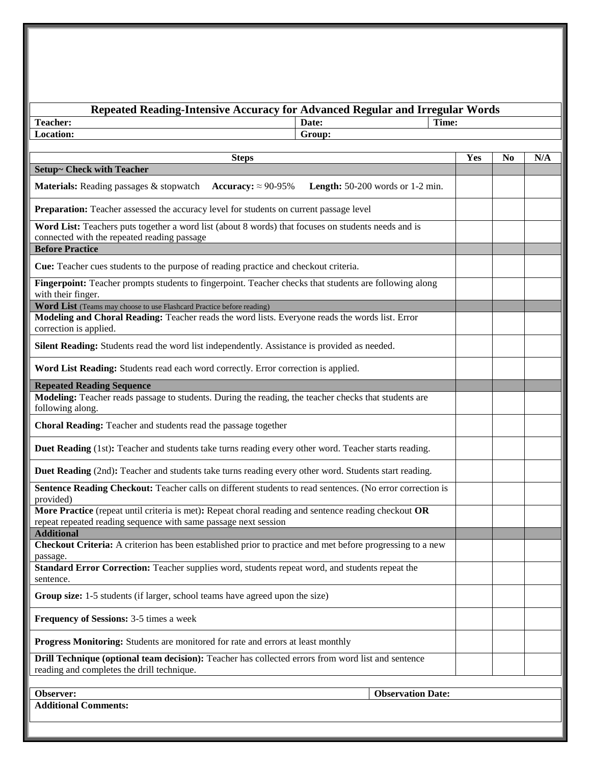| <b>Repeated Reading-Intensive Accuracy for Advanced Regular and Irregular Words</b>                                                                                     |                                             |       |     |                |     |
|-------------------------------------------------------------------------------------------------------------------------------------------------------------------------|---------------------------------------------|-------|-----|----------------|-----|
| <b>Teacher:</b>                                                                                                                                                         | Date:                                       | Time: |     |                |     |
| Location:                                                                                                                                                               | Group:                                      |       |     |                |     |
| <b>Steps</b>                                                                                                                                                            |                                             |       | Yes | N <sub>0</sub> | N/A |
| <b>Setup~ Check with Teacher</b>                                                                                                                                        |                                             |       |     |                |     |
| <b>Materials:</b> Reading passages & stopwatch Accuracy: $\approx 90-95\%$                                                                                              | <b>Length:</b> $50-200$ words or $1-2$ min. |       |     |                |     |
| Preparation: Teacher assessed the accuracy level for students on current passage level                                                                                  |                                             |       |     |                |     |
| Word List: Teachers puts together a word list (about 8 words) that focuses on students needs and is<br>connected with the repeated reading passage                      |                                             |       |     |                |     |
| <b>Before Practice</b>                                                                                                                                                  |                                             |       |     |                |     |
| <b>Cue:</b> Teacher cues students to the purpose of reading practice and checkout criteria.                                                                             |                                             |       |     |                |     |
| Fingerpoint: Teacher prompts students to fingerpoint. Teacher checks that students are following along<br>with their finger.                                            |                                             |       |     |                |     |
| Word List (Teams may choose to use Flashcard Practice before reading)                                                                                                   |                                             |       |     |                |     |
| Modeling and Choral Reading: Teacher reads the word lists. Everyone reads the words list. Error<br>correction is applied.                                               |                                             |       |     |                |     |
| Silent Reading: Students read the word list independently. Assistance is provided as needed.                                                                            |                                             |       |     |                |     |
| Word List Reading: Students read each word correctly. Error correction is applied.                                                                                      |                                             |       |     |                |     |
| <b>Repeated Reading Sequence</b>                                                                                                                                        |                                             |       |     |                |     |
| Modeling: Teacher reads passage to students. During the reading, the teacher checks that students are<br>following along.                                               |                                             |       |     |                |     |
| Choral Reading: Teacher and students read the passage together                                                                                                          |                                             |       |     |                |     |
| Duet Reading (1st): Teacher and students take turns reading every other word. Teacher starts reading.                                                                   |                                             |       |     |                |     |
| Duet Reading (2nd): Teacher and students take turns reading every other word. Students start reading.                                                                   |                                             |       |     |                |     |
| Sentence Reading Checkout: Teacher calls on different students to read sentences. (No error correction is<br>provided)                                                  |                                             |       |     |                |     |
| More Practice (repeat until criteria is met): Repeat choral reading and sentence reading checkout OR<br>repeat repeated reading sequence with same passage next session |                                             |       |     |                |     |
| <b>Additional</b>                                                                                                                                                       |                                             |       |     |                |     |
| Checkout Criteria: A criterion has been established prior to practice and met before progressing to a new<br>passage.                                                   |                                             |       |     |                |     |
| Standard Error Correction: Teacher supplies word, students repeat word, and students repeat the<br>sentence.                                                            |                                             |       |     |                |     |
| Group size: 1-5 students (if larger, school teams have agreed upon the size)                                                                                            |                                             |       |     |                |     |
| <b>Frequency of Sessions: 3-5 times a week</b>                                                                                                                          |                                             |       |     |                |     |
| Progress Monitoring: Students are monitored for rate and errors at least monthly                                                                                        |                                             |       |     |                |     |
| Drill Technique (optional team decision): Teacher has collected errors from word list and sentence<br>reading and completes the drill technique.                        |                                             |       |     |                |     |
|                                                                                                                                                                         |                                             |       |     |                |     |
| Observer:                                                                                                                                                               | <b>Observation Date:</b>                    |       |     |                |     |
| <b>Additional Comments:</b>                                                                                                                                             |                                             |       |     |                |     |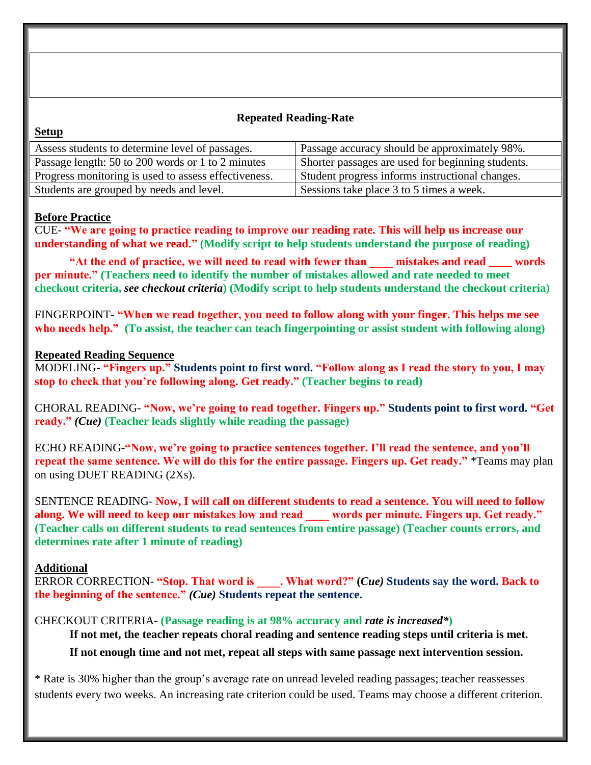### **Repeated Reading-Rate**

#### **Setup**

| Passage accuracy should be approximately 98%.     |
|---------------------------------------------------|
| Shorter passages are used for beginning students. |
| Student progress informs instructional changes.   |
| Sessions take place 3 to 5 times a week.          |
|                                                   |

### **Before Practice**

CUE- **"We are going to practice reading to improve our reading rate. This will help us increase our understanding of what we read." (Modify script to help students understand the purpose of reading)**

**"At the end of practice, we will need to read with fewer than \_\_\_\_ mistakes and read \_\_\_\_ words per minute." (Teachers need to identify the number of mistakes allowed and rate needed to meet checkout criteria,** *see checkout criteria***) (Modify script to help students understand the checkout criteria)**

FINGERPOINT- **"When we read together, you need to follow along with your finger. This helps me see who needs help." (To assist, the teacher can teach fingerpointing or assist student with following along)**

#### **Repeated Reading Sequence**

MODELING- **"Fingers up." Students point to first word. "Follow along as I read the story to you, I may stop to check that you're following along. Get ready." (Teacher begins to read)**

CHORAL READING- **"Now, we're going to read together. Fingers up." Students point to first word. "Get ready."** *(Cue)* **(Teacher leads slightly while reading the passage)**

ECHO READING-**"Now, we're going to practice sentences together. I'll read the sentence, and you'll repeat the same sentence. We will do this for the entire passage. Fingers up. Get ready."** \*Teams may plan on using DUET READING (2Xs).

SENTENCE READING- **Now, I will call on different students to read a sentence. You will need to follow along. We will need to keep our mistakes low and read \_\_\_\_ words per minute. Fingers up. Get ready." (Teacher calls on different students to read sentences from entire passage) (Teacher counts errors, and determines rate after 1 minute of reading)**

#### **Additional**

ERROR CORRECTION- **"Stop. That word is \_\_\_\_. What word?" (***Cue)* **Students say the word. Back to the beginning of the sentence."** *(Cue)* **Students repeat the sentence.**

CHECKOUT CRITERIA- **(Passage reading is at 98% accuracy and** *rate is increased\****)**

**If not met, the teacher repeats choral reading and sentence reading steps until criteria is met.** 

**If not enough time and not met, repeat all steps with same passage next intervention session.**

\* Rate is 30% higher than the group's average rate on unread leveled reading passages; teacher reassesses students every two weeks. An increasing rate criterion could be used. Teams may choose a different criterion.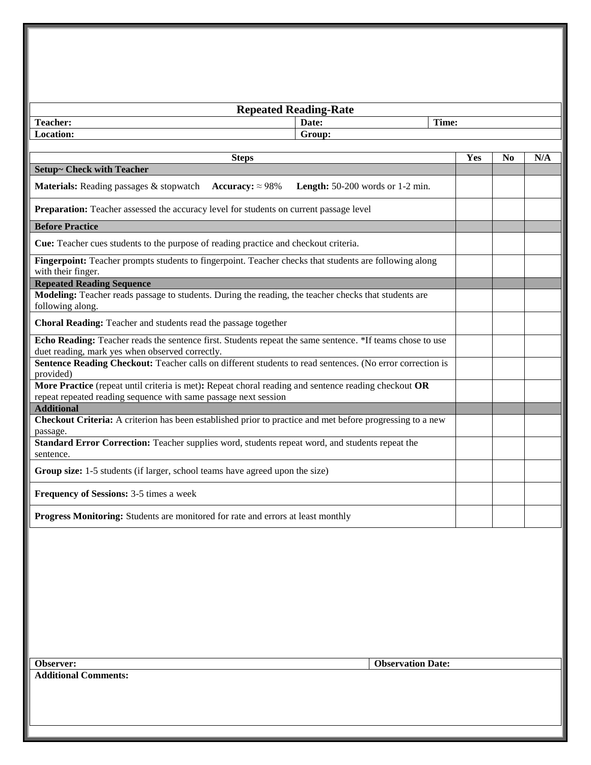| <b>Repeated Reading-Rate</b>                                                                                                                                            |                                             |     |    |     |
|-------------------------------------------------------------------------------------------------------------------------------------------------------------------------|---------------------------------------------|-----|----|-----|
| <b>Teacher:</b><br>Date:                                                                                                                                                | Time:                                       |     |    |     |
| Location:                                                                                                                                                               | Group:                                      |     |    |     |
| <b>Steps</b>                                                                                                                                                            |                                             | Yes | No | N/A |
| <b>Setup~ Check with Teacher</b>                                                                                                                                        |                                             |     |    |     |
| Materials: Reading passages & stopwatch<br>Accuracy: $\approx 98\%$                                                                                                     | <b>Length:</b> $50-200$ words or $1-2$ min. |     |    |     |
| Preparation: Teacher assessed the accuracy level for students on current passage level                                                                                  |                                             |     |    |     |
| <b>Before Practice</b>                                                                                                                                                  |                                             |     |    |     |
| Cue: Teacher cues students to the purpose of reading practice and checkout criteria.                                                                                    |                                             |     |    |     |
| Fingerpoint: Teacher prompts students to fingerpoint. Teacher checks that students are following along<br>with their finger.                                            |                                             |     |    |     |
| <b>Repeated Reading Sequence</b>                                                                                                                                        |                                             |     |    |     |
| Modeling: Teacher reads passage to students. During the reading, the teacher checks that students are<br>following along.                                               |                                             |     |    |     |
| Choral Reading: Teacher and students read the passage together                                                                                                          |                                             |     |    |     |
| Echo Reading: Teacher reads the sentence first. Students repeat the same sentence. *If teams chose to use<br>duet reading, mark yes when observed correctly.            |                                             |     |    |     |
| Sentence Reading Checkout: Teacher calls on different students to read sentences. (No error correction is<br>provided)                                                  |                                             |     |    |     |
| More Practice (repeat until criteria is met): Repeat choral reading and sentence reading checkout OR<br>repeat repeated reading sequence with same passage next session |                                             |     |    |     |
| <b>Additional</b>                                                                                                                                                       |                                             |     |    |     |
| Checkout Criteria: A criterion has been established prior to practice and met before progressing to a new<br>passage.                                                   |                                             |     |    |     |
| Standard Error Correction: Teacher supplies word, students repeat word, and students repeat the<br>sentence.                                                            |                                             |     |    |     |
| Group size: 1-5 students (if larger, school teams have agreed upon the size)                                                                                            |                                             |     |    |     |
| Frequency of Sessions: 3-5 times a week                                                                                                                                 |                                             |     |    |     |
| Progress Monitoring: Students are monitored for rate and errors at least monthly                                                                                        |                                             |     |    |     |
|                                                                                                                                                                         |                                             |     |    |     |

**Additional Comments:**

**Observer: Observation Date:**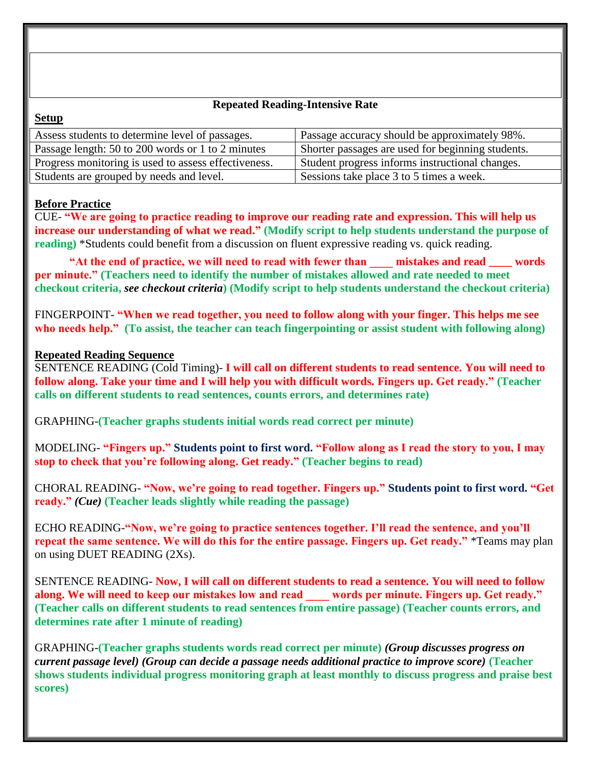### **Repeated Reading-Intensive Rate**

# **Setup**

| Assess students to determine level of passages.      | Passage accuracy should be approximately 98%.     |
|------------------------------------------------------|---------------------------------------------------|
| Passage length: 50 to 200 words or 1 to 2 minutes    | Shorter passages are used for beginning students. |
| Progress monitoring is used to assess effectiveness. | Student progress informs instructional changes.   |
| Students are grouped by needs and level.             | Sessions take place 3 to 5 times a week.          |

# **Before Practice**

CUE- **"We are going to practice reading to improve our reading rate and expression. This will help us increase our understanding of what we read." (Modify script to help students understand the purpose of reading**) \*Students could benefit from a discussion on fluent expressive reading vs. quick reading.

**"At the end of practice, we will need to read with fewer than \_\_\_\_ mistakes and read \_\_\_\_ words per minute." (Teachers need to identify the number of mistakes allowed and rate needed to meet checkout criteria,** *see checkout criteria***) (Modify script to help students understand the checkout criteria)**

FINGERPOINT- **"When we read together, you need to follow along with your finger. This helps me see who needs help." (To assist, the teacher can teach fingerpointing or assist student with following along)**

### **Repeated Reading Sequence**

SENTENCE READING (Cold Timing)- **I will call on different students to read sentence. You will need to follow along. Take your time and I will help you with difficult words. Fingers up. Get ready." (Teacher calls on different students to read sentences, counts errors, and determines rate)**

GRAPHING-**(Teacher graphs students initial words read correct per minute)**

MODELING- **"Fingers up." Students point to first word. "Follow along as I read the story to you, I may stop to check that you're following along. Get ready." (Teacher begins to read)**

CHORAL READING- **"Now, we're going to read together. Fingers up." Students point to first word. "Get ready."** *(Cue)* **(Teacher leads slightly while reading the passage)**

ECHO READING-**"Now, we're going to practice sentences together. I'll read the sentence, and you'll repeat the same sentence. We will do this for the entire passage. Fingers up. Get ready."** \*Teams may plan on using DUET READING (2Xs).

SENTENCE READING- **Now, I will call on different students to read a sentence. You will need to follow along. We will need to keep our mistakes low and read \_\_\_\_ words per minute. Fingers up. Get ready." (Teacher calls on different students to read sentences from entire passage) (Teacher counts errors, and determines rate after 1 minute of reading)**

GRAPHING-**(Teacher graphs students words read correct per minute)** *(Group discusses progress on current passage level) (Group can decide a passage needs additional practice to improve score)* **(Teacher shows students individual progress monitoring graph at least monthly to discuss progress and praise best scores)**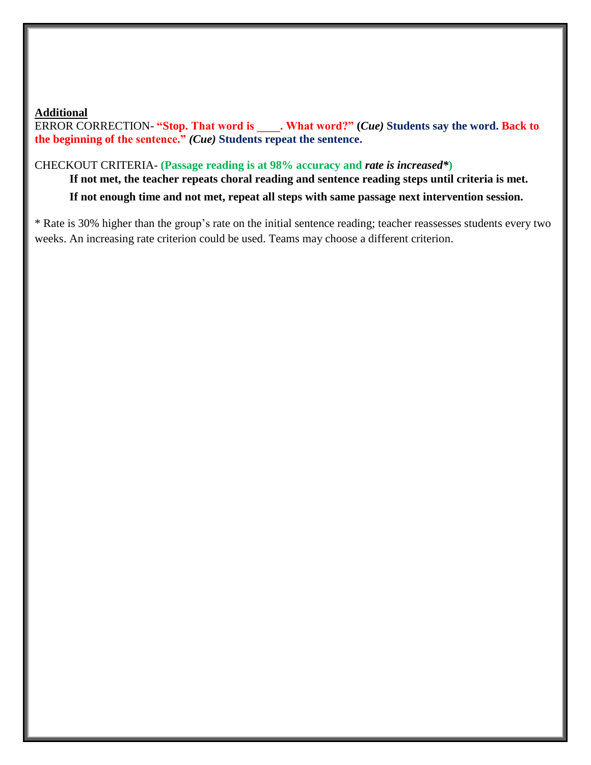### **Additional**

ERROR CORRECTION- **"Stop. That word is \_\_\_\_. What word?" (***Cue)* **Students say the word. Back to the beginning of the sentence."** *(Cue)* **Students repeat the sentence.**

#### CHECKOUT CRITERIA- **(Passage reading is at 98% accuracy and** *rate is increased\****)**

**If not met, the teacher repeats choral reading and sentence reading steps until criteria is met.** 

**If not enough time and not met, repeat all steps with same passage next intervention session.**

\* Rate is 30% higher than the group's rate on the initial sentence reading; teacher reassesses students every two weeks. An increasing rate criterion could be used. Teams may choose a different criterion.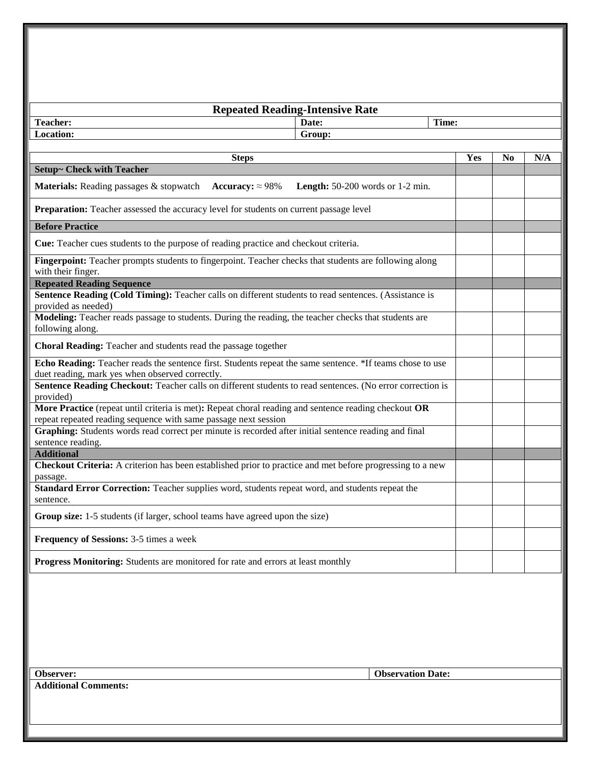| <b>Repeated Reading-Intensive Rate</b>                                                                                                                                  |     |                |     |  |  |
|-------------------------------------------------------------------------------------------------------------------------------------------------------------------------|-----|----------------|-----|--|--|
| <b>Teacher:</b><br>Time:<br>Date:                                                                                                                                       |     |                |     |  |  |
| Location:<br>Group:                                                                                                                                                     |     |                |     |  |  |
|                                                                                                                                                                         |     |                |     |  |  |
| <b>Steps</b>                                                                                                                                                            | Yes | N <sub>0</sub> | N/A |  |  |
| <b>Setup~ Check with Teacher</b>                                                                                                                                        |     |                |     |  |  |
| <b>Materials:</b> Reading passages & stopwatch Accuracy: $\approx 98\%$<br><b>Length:</b> $50-200$ words or $1-2$ min.                                                  |     |                |     |  |  |
| Preparation: Teacher assessed the accuracy level for students on current passage level                                                                                  |     |                |     |  |  |
| <b>Before Practice</b>                                                                                                                                                  |     |                |     |  |  |
| Cue: Teacher cues students to the purpose of reading practice and checkout criteria.                                                                                    |     |                |     |  |  |
| Fingerpoint: Teacher prompts students to fingerpoint. Teacher checks that students are following along<br>with their finger.                                            |     |                |     |  |  |
| <b>Repeated Reading Sequence</b>                                                                                                                                        |     |                |     |  |  |
| Sentence Reading (Cold Timing): Teacher calls on different students to read sentences. (Assistance is<br>provided as needed)                                            |     |                |     |  |  |
| Modeling: Teacher reads passage to students. During the reading, the teacher checks that students are<br>following along.                                               |     |                |     |  |  |
| Choral Reading: Teacher and students read the passage together                                                                                                          |     |                |     |  |  |
| Echo Reading: Teacher reads the sentence first. Students repeat the same sentence. *If teams chose to use<br>duet reading, mark yes when observed correctly.            |     |                |     |  |  |
| Sentence Reading Checkout: Teacher calls on different students to read sentences. (No error correction is<br>provided)                                                  |     |                |     |  |  |
| More Practice (repeat until criteria is met): Repeat choral reading and sentence reading checkout OR<br>repeat repeated reading sequence with same passage next session |     |                |     |  |  |
| Graphing: Students words read correct per minute is recorded after initial sentence reading and final<br>sentence reading.                                              |     |                |     |  |  |
| <b>Additional</b>                                                                                                                                                       |     |                |     |  |  |
| Checkout Criteria: A criterion has been established prior to practice and met before progressing to a new<br>passage.                                                   |     |                |     |  |  |
| Standard Error Correction: Teacher supplies word, students repeat word, and students repeat the<br>sentence.                                                            |     |                |     |  |  |
| Group size: 1-5 students (if larger, school teams have agreed upon the size)                                                                                            |     |                |     |  |  |
| Frequency of Sessions: 3-5 times a week                                                                                                                                 |     |                |     |  |  |
| Progress Monitoring: Students are monitored for rate and errors at least monthly                                                                                        |     |                |     |  |  |
|                                                                                                                                                                         |     |                |     |  |  |
|                                                                                                                                                                         |     |                |     |  |  |
|                                                                                                                                                                         |     |                |     |  |  |
|                                                                                                                                                                         |     |                |     |  |  |
| <b>Observation Date:</b><br>Observer:                                                                                                                                   |     |                |     |  |  |
| <b>Additional Comments:</b>                                                                                                                                             |     |                |     |  |  |
|                                                                                                                                                                         |     |                |     |  |  |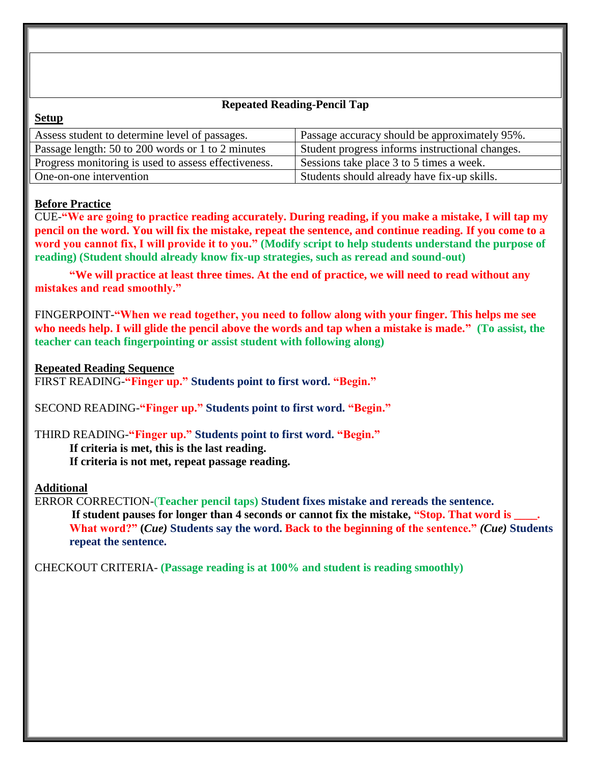### **Repeated Reading-Pencil Tap**

| Assess student to determine level of passages.       | Passage accuracy should be approximately 95%.   |
|------------------------------------------------------|-------------------------------------------------|
| Passage length: 50 to 200 words or 1 to 2 minutes    | Student progress informs instructional changes. |
| Progress monitoring is used to assess effectiveness. | Sessions take place 3 to 5 times a week.        |
| One-on-one intervention                              | Students should already have fix-up skills.     |
|                                                      |                                                 |

#### **Before Practice**

**Setup**

CUE-**"We are going to practice reading accurately. During reading, if you make a mistake, I will tap my pencil on the word. You will fix the mistake, repeat the sentence, and continue reading. If you come to a word you cannot fix, I will provide it to you." (Modify script to help students understand the purpose of reading) (Student should already know fix-up strategies, such as reread and sound-out)**

**"We will practice at least three times. At the end of practice, we will need to read without any mistakes and read smoothly."**

FINGERPOINT-**"When we read together, you need to follow along with your finger. This helps me see who needs help. I will glide the pencil above the words and tap when a mistake is made." (To assist, the teacher can teach fingerpointing or assist student with following along)**

#### **Repeated Reading Sequence**

FIRST READING-**"Finger up." Students point to first word. "Begin."**

SECOND READING-**"Finger up." Students point to first word. "Begin."** 

# THIRD READING-**"Finger up." Students point to first word. "Begin."**

**If criteria is met, this is the last reading.**

**If criteria is not met, repeat passage reading.**

#### **Additional**

ERROR CORRECTION-(**Teacher pencil taps) Student fixes mistake and rereads the sentence.** If student pauses for longer than 4 seconds or cannot fix the mistake, "Stop. That word is **What word?" (***Cue)* **Students say the word. Back to the beginning of the sentence."** *(Cue)* **Students repeat the sentence.**

CHECKOUT CRITERIA- **(Passage reading is at 100% and student is reading smoothly)**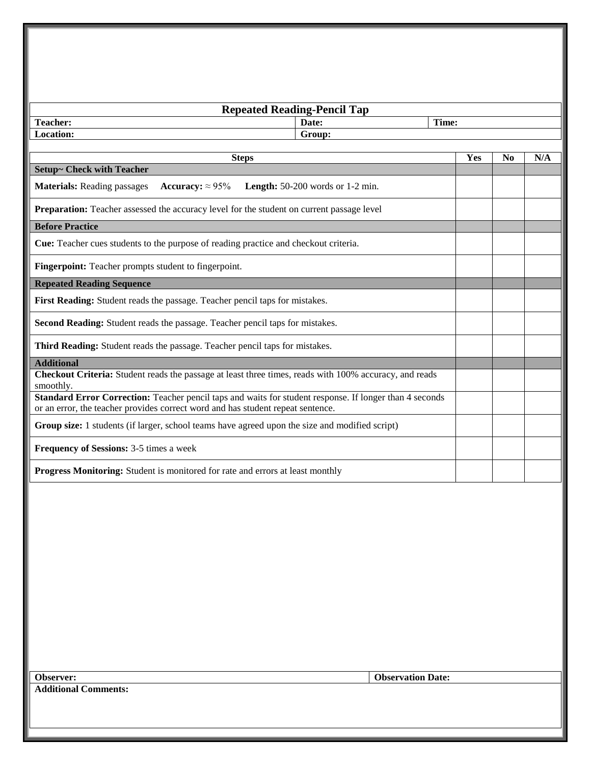| <b>Repeated Reading-Pencil Tap</b>                                                                                                                                                         |                                  |                          |       |                |     |
|--------------------------------------------------------------------------------------------------------------------------------------------------------------------------------------------|----------------------------------|--------------------------|-------|----------------|-----|
| <b>Teacher:</b>                                                                                                                                                                            | Date:                            |                          | Time: |                |     |
| Location:                                                                                                                                                                                  | Group:                           |                          |       |                |     |
| <b>Steps</b>                                                                                                                                                                               |                                  |                          | Yes   | N <sub>0</sub> | N/A |
| <b>Setup~ Check with Teacher</b>                                                                                                                                                           |                                  |                          |       |                |     |
| <b>Materials: Reading passages</b><br>Accuracy: $\approx 95\%$                                                                                                                             | Length: 50-200 words or 1-2 min. |                          |       |                |     |
| Preparation: Teacher assessed the accuracy level for the student on current passage level                                                                                                  |                                  |                          |       |                |     |
| <b>Before Practice</b>                                                                                                                                                                     |                                  |                          |       |                |     |
| Cue: Teacher cues students to the purpose of reading practice and checkout criteria.                                                                                                       |                                  |                          |       |                |     |
| Fingerpoint: Teacher prompts student to fingerpoint.                                                                                                                                       |                                  |                          |       |                |     |
| <b>Repeated Reading Sequence</b>                                                                                                                                                           |                                  |                          |       |                |     |
| First Reading: Student reads the passage. Teacher pencil taps for mistakes.                                                                                                                |                                  |                          |       |                |     |
| Second Reading: Student reads the passage. Teacher pencil taps for mistakes.                                                                                                               |                                  |                          |       |                |     |
| Third Reading: Student reads the passage. Teacher pencil taps for mistakes.                                                                                                                |                                  |                          |       |                |     |
| <b>Additional</b>                                                                                                                                                                          |                                  |                          |       |                |     |
| Checkout Criteria: Student reads the passage at least three times, reads with 100% accuracy, and reads<br>smoothly.                                                                        |                                  |                          |       |                |     |
| Standard Error Correction: Teacher pencil taps and waits for student response. If longer than 4 seconds<br>or an error, the teacher provides correct word and has student repeat sentence. |                                  |                          |       |                |     |
| Group size: 1 students (if larger, school teams have agreed upon the size and modified script)                                                                                             |                                  |                          |       |                |     |
| Frequency of Sessions: 3-5 times a week                                                                                                                                                    |                                  |                          |       |                |     |
| Progress Monitoring: Student is monitored for rate and errors at least monthly                                                                                                             |                                  |                          |       |                |     |
|                                                                                                                                                                                            |                                  |                          |       |                |     |
| <b>Observer:</b><br>dditional Commonts                                                                                                                                                     |                                  | <b>Observation Date:</b> |       |                |     |

**Additional Comments:**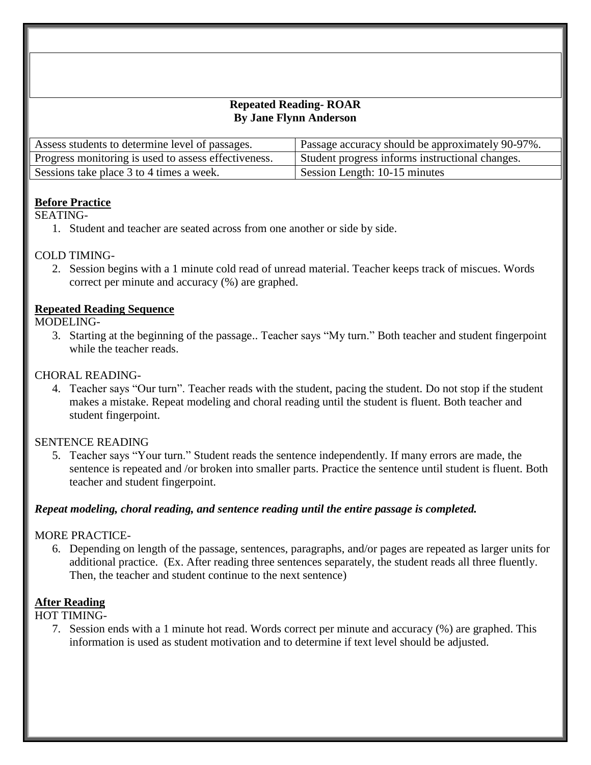#### **Repeated Reading- ROAR By Jane Flynn Anderson**

| Assess students to determine level of passages.      | Passage accuracy should be approximately 90-97%. |
|------------------------------------------------------|--------------------------------------------------|
| Progress monitoring is used to assess effectiveness. | Student progress informs instructional changes.  |
| Sessions take place 3 to 4 times a week.             | Session Length: 10-15 minutes                    |

### **Before Practice**

SEATING-

1. Student and teacher are seated across from one another or side by side.

# COLD TIMING-

2. Session begins with a 1 minute cold read of unread material. Teacher keeps track of miscues. Words correct per minute and accuracy (%) are graphed.

### **Repeated Reading Sequence**

### MODELING-

3. Starting at the beginning of the passage.. Teacher says "My turn." Both teacher and student fingerpoint while the teacher reads.

### CHORAL READING-

4. Teacher says "Our turn". Teacher reads with the student, pacing the student. Do not stop if the student makes a mistake. Repeat modeling and choral reading until the student is fluent. Both teacher and student fingerpoint.

### SENTENCE READING

5. Teacher says "Your turn." Student reads the sentence independently. If many errors are made, the sentence is repeated and /or broken into smaller parts. Practice the sentence until student is fluent. Both teacher and student fingerpoint.

#### *Repeat modeling, choral reading, and sentence reading until the entire passage is completed.*

# MORE PRACTICE-

6. Depending on length of the passage, sentences, paragraphs, and/or pages are repeated as larger units for additional practice. (Ex. After reading three sentences separately, the student reads all three fluently. Then, the teacher and student continue to the next sentence)

# **After Reading**

#### HOT TIMING-

7. Session ends with a 1 minute hot read. Words correct per minute and accuracy (%) are graphed. This information is used as student motivation and to determine if text level should be adjusted.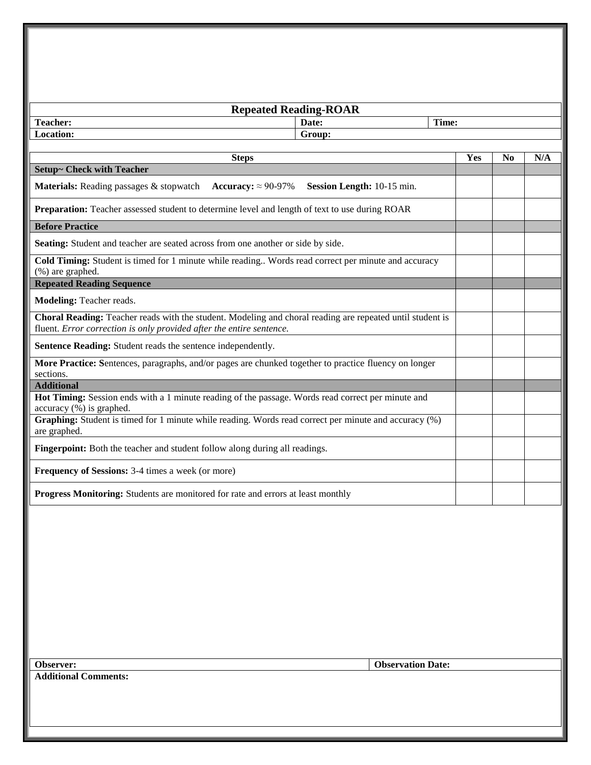| <b>Repeated Reading-ROAR</b>                                                                                                                                                             |                            |     |                |     |
|------------------------------------------------------------------------------------------------------------------------------------------------------------------------------------------|----------------------------|-----|----------------|-----|
| <b>Teacher:</b><br>Date:                                                                                                                                                                 | Time:                      |     |                |     |
| Location:<br>Group:                                                                                                                                                                      |                            |     |                |     |
|                                                                                                                                                                                          |                            | Yes | N <sub>0</sub> | N/A |
| <b>Steps</b><br><b>Setup~ Check with Teacher</b>                                                                                                                                         |                            |     |                |     |
| Materials: Reading passages & stopwatch<br>Accuracy: $\approx$ 90-97%                                                                                                                    | Session Length: 10-15 min. |     |                |     |
| Preparation: Teacher assessed student to determine level and length of text to use during ROAR                                                                                           |                            |     |                |     |
| <b>Before Practice</b>                                                                                                                                                                   |                            |     |                |     |
| Seating: Student and teacher are seated across from one another or side by side.                                                                                                         |                            |     |                |     |
| Cold Timing: Student is timed for 1 minute while reading Words read correct per minute and accuracy<br>(%) are graphed.                                                                  |                            |     |                |     |
| <b>Repeated Reading Sequence</b>                                                                                                                                                         |                            |     |                |     |
| Modeling: Teacher reads.                                                                                                                                                                 |                            |     |                |     |
| <b>Choral Reading:</b> Teacher reads with the student. Modeling and choral reading are repeated until student is<br>fluent. Error correction is only provided after the entire sentence. |                            |     |                |     |
| Sentence Reading: Student reads the sentence independently.                                                                                                                              |                            |     |                |     |
| More Practice: Sentences, paragraphs, and/or pages are chunked together to practice fluency on longer<br>sections.                                                                       |                            |     |                |     |
| <b>Additional</b>                                                                                                                                                                        |                            |     |                |     |
| Hot Timing: Session ends with a 1 minute reading of the passage. Words read correct per minute and<br>$accuracy (%)$ is graphed.                                                         |                            |     |                |     |
| Graphing: Student is timed for 1 minute while reading. Words read correct per minute and accuracy (%)<br>are graphed.                                                                    |                            |     |                |     |
| Fingerpoint: Both the teacher and student follow along during all readings.                                                                                                              |                            |     |                |     |
| <b>Frequency of Sessions:</b> 3-4 times a week (or more)                                                                                                                                 |                            |     |                |     |
| Progress Monitoring: Students are monitored for rate and errors at least monthly                                                                                                         |                            |     |                |     |
|                                                                                                                                                                                          |                            |     |                |     |
|                                                                                                                                                                                          |                            |     |                |     |
|                                                                                                                                                                                          |                            |     |                |     |
|                                                                                                                                                                                          |                            |     |                |     |
|                                                                                                                                                                                          |                            |     |                |     |
|                                                                                                                                                                                          |                            |     |                |     |
|                                                                                                                                                                                          |                            |     |                |     |
|                                                                                                                                                                                          |                            |     |                |     |
|                                                                                                                                                                                          |                            |     |                |     |

**Additional Comments:**

**Observer: Observation Date:**